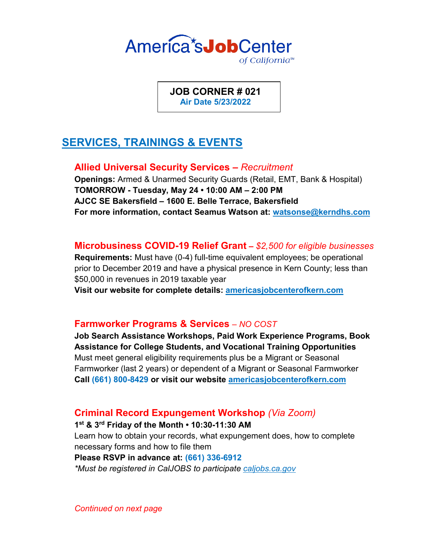

**JOB CORNER # 021 Air Date 5/23/2022**

# **SERVICES, TRAININGS & EVENTS**

**Allied Universal Security Services –** *Recruitment*

**Openings:** Armed & Unarmed Security Guards (Retail, EMT, Bank & Hospital) **TOMORROW - Tuesday, May 24 • 10:00 AM – 2:00 PM AJCC SE Bakersfield – 1600 E. Belle Terrace, Bakersfield For more information, contact Seamus Watson at: watsonse@kerndhs.com**

**Microbusiness COVID-19 Relief Grant –** *\$2,500 for eligible businesses*

**Requirements:** Must have (0-4) full-time equivalent employees; be operational prior to December 2019 and have a physical presence in Kern County; less than \$50,000 in revenues in 2019 taxable year

**Visit our website for complete details: americasjobcenterofkern.com**

### **Farmworker Programs & Services** *– NO COST*

**Job Search Assistance Workshops, Paid Work Experience Programs, Book Assistance for College Students, and Vocational Training Opportunities** Must meet general eligibility requirements plus be a Migrant or Seasonal Farmworker (last 2 years) or dependent of a Migrant or Seasonal Farmworker **Call (661) 800-8429 or visit our website americasjobcenterofkern.com**

### **Criminal Record Expungement Workshop** *(Via Zoom)*

**1st & 3rd Friday of the Month • 10:30-11:30 AM**

Learn how to obtain your records, what expungement does, how to complete necessary forms and how to file them

### **Please RSVP in advance at: (661) 336-6912**

*\*Must be registered in CalJOBS to participate caljobs.ca.gov*